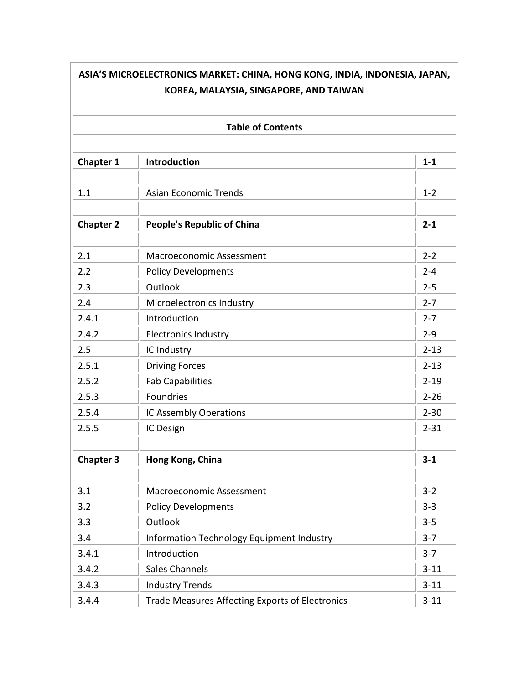| ASIA'S MICROELECTRONICS MARKET: CHINA, HONG KONG, INDIA, INDONESIA, JAPAN,<br>KOREA, MALAYSIA, SINGAPORE, AND TAIWAN |                                                        |          |
|----------------------------------------------------------------------------------------------------------------------|--------------------------------------------------------|----------|
|                                                                                                                      | <b>Table of Contents</b>                               |          |
| <b>Chapter 1</b>                                                                                                     | <b>Introduction</b>                                    | $1 - 1$  |
| 1.1                                                                                                                  | <b>Asian Economic Trends</b>                           | $1 - 2$  |
| <b>Chapter 2</b>                                                                                                     | <b>People's Republic of China</b>                      | $2 - 1$  |
| 2.1                                                                                                                  | <b>Macroeconomic Assessment</b>                        | $2 - 2$  |
| 2.2                                                                                                                  | <b>Policy Developments</b>                             | $2 - 4$  |
| 2.3                                                                                                                  | Outlook                                                | $2 - 5$  |
| 2.4                                                                                                                  | Microelectronics Industry                              | $2 - 7$  |
| 2.4.1                                                                                                                | Introduction                                           | $2 - 7$  |
| 2.4.2                                                                                                                | <b>Electronics Industry</b>                            | $2 - 9$  |
| 2.5                                                                                                                  | IC Industry                                            | $2 - 13$ |
| 2.5.1                                                                                                                | <b>Driving Forces</b>                                  | $2 - 13$ |
| 2.5.2                                                                                                                | <b>Fab Capabilities</b>                                | $2 - 19$ |
| 2.5.3                                                                                                                | <b>Foundries</b>                                       | $2 - 26$ |
| 2.5.4                                                                                                                | IC Assembly Operations                                 | $2 - 30$ |
| 2.5.5                                                                                                                | IC Design                                              | $2 - 31$ |
| <b>Chapter 3</b>                                                                                                     | Hong Kong, China                                       | $3 - 1$  |
| 3.1                                                                                                                  | Macroeconomic Assessment                               | $3 - 2$  |
| 3.2                                                                                                                  | <b>Policy Developments</b>                             | $3 - 3$  |
| 3.3                                                                                                                  | Outlook                                                | $3 - 5$  |
| 3.4                                                                                                                  | Information Technology Equipment Industry              | $3 - 7$  |
| 3.4.1                                                                                                                | Introduction                                           | $3 - 7$  |
| 3.4.2                                                                                                                | <b>Sales Channels</b>                                  | $3 - 11$ |
| 3.4.3                                                                                                                | <b>Industry Trends</b>                                 | $3 - 11$ |
| 3.4.4                                                                                                                | <b>Trade Measures Affecting Exports of Electronics</b> | $3 - 11$ |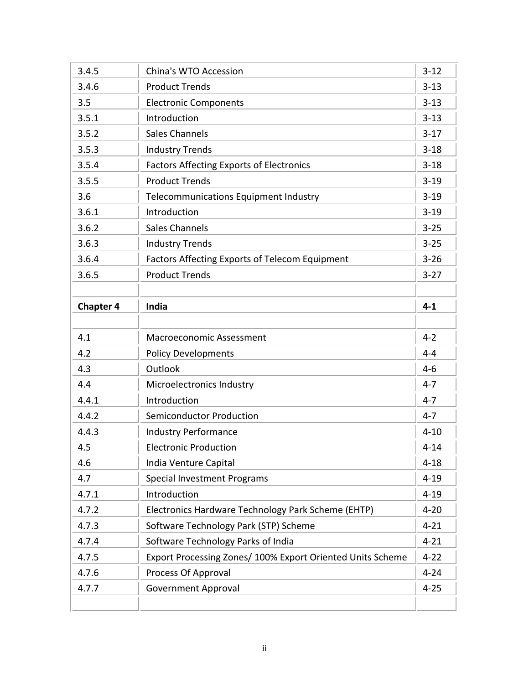| 3.4.5            | China's WTO Accession                                      | $3 - 12$ |
|------------------|------------------------------------------------------------|----------|
| 3.4.6            | <b>Product Trends</b>                                      | $3 - 13$ |
| 3.5              | <b>Electronic Components</b>                               | $3 - 13$ |
| 3.5.1            | Introduction                                               | $3 - 13$ |
| 3.5.2            | <b>Sales Channels</b>                                      | $3 - 17$ |
| 3.5.3            | <b>Industry Trends</b>                                     | $3 - 18$ |
| 3.5.4            | <b>Factors Affecting Exports of Electronics</b>            | $3 - 18$ |
| 3.5.5            | <b>Product Trends</b>                                      | $3 - 19$ |
| 3.6              | Telecommunications Equipment Industry                      | $3 - 19$ |
| 3.6.1            | Introduction                                               | $3 - 19$ |
| 3.6.2            | <b>Sales Channels</b>                                      | $3 - 25$ |
| 3.6.3            | <b>Industry Trends</b>                                     | $3 - 25$ |
| 3.6.4            | <b>Factors Affecting Exports of Telecom Equipment</b>      | $3 - 26$ |
| 3.6.5            | <b>Product Trends</b>                                      | $3 - 27$ |
|                  |                                                            |          |
| <b>Chapter 4</b> | <b>India</b>                                               | $4 - 1$  |
|                  |                                                            |          |
| 4.1              | <b>Macroeconomic Assessment</b>                            | $4 - 2$  |
| 4.2              | <b>Policy Developments</b>                                 | $4 - 4$  |
| 4.3              | Outlook                                                    | $4 - 6$  |
| 4.4              | Microelectronics Industry                                  | $4 - 7$  |
| 4.4.1            | Introduction                                               | $4 - 7$  |
| 4.4.2            | <b>Semiconductor Production</b>                            | $4 - 7$  |
| 4.4.3            | <b>Industry Performance</b>                                | $4 - 10$ |
| 4.5              | <b>Electronic Production</b>                               | $4 - 14$ |
| 4.6              | India Venture Capital                                      | $4 - 18$ |
| 4.7              | <b>Special Investment Programs</b>                         | $4 - 19$ |
| 4.7.1            | Introduction                                               | $4 - 19$ |
| 4.7.2            | Electronics Hardware Technology Park Scheme (EHTP)         | $4 - 20$ |
| 4.7.3            | Software Technology Park (STP) Scheme                      | $4 - 21$ |
| 4.7.4            | Software Technology Parks of India                         | $4 - 21$ |
| 4.7.5            | Export Processing Zones/ 100% Export Oriented Units Scheme | $4 - 22$ |
| 4.7.6            | Process Of Approval                                        | $4 - 24$ |
| 4.7.7            | <b>Government Approval</b>                                 | $4 - 25$ |
|                  |                                                            |          |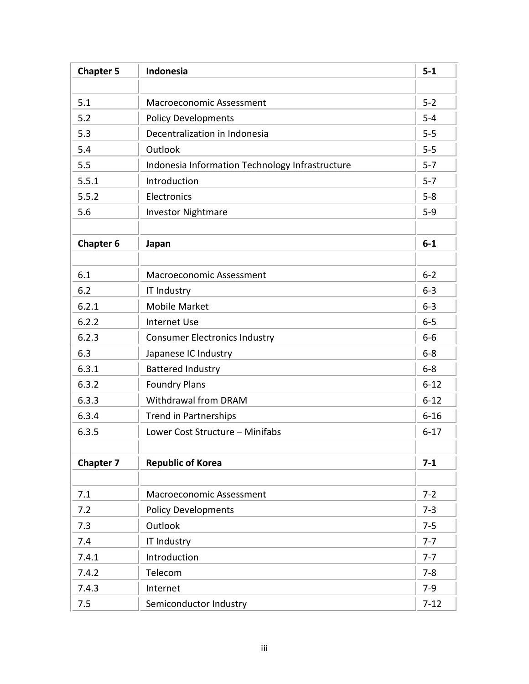| <b>Chapter 5</b> | Indonesia                                       | $5-1$    |
|------------------|-------------------------------------------------|----------|
|                  |                                                 |          |
| 5.1              | <b>Macroeconomic Assessment</b>                 | $5 - 2$  |
| 5.2              | <b>Policy Developments</b>                      | $5 - 4$  |
| 5.3              | Decentralization in Indonesia                   | $5-5$    |
| 5.4              | Outlook                                         | $5-5$    |
| 5.5              | Indonesia Information Technology Infrastructure | $5 - 7$  |
| 5.5.1            | Introduction                                    | $5 - 7$  |
| 5.5.2            | Electronics                                     | $5 - 8$  |
| 5.6              | <b>Investor Nightmare</b>                       | $5-9$    |
| <b>Chapter 6</b> | Japan                                           | $6-1$    |
| 6.1              | <b>Macroeconomic Assessment</b>                 | $6 - 2$  |
| 6.2              | <b>IT Industry</b>                              | $6 - 3$  |
| 6.2.1            | <b>Mobile Market</b>                            | $6 - 3$  |
| 6.2.2            | <b>Internet Use</b>                             | $6 - 5$  |
| 6.2.3            | <b>Consumer Electronics Industry</b>            | $6-6$    |
| 6.3              | Japanese IC Industry                            | $6 - 8$  |
| 6.3.1            | <b>Battered Industry</b>                        | $6 - 8$  |
| 6.3.2            | <b>Foundry Plans</b>                            | $6 - 12$ |
| 6.3.3            | Withdrawal from DRAM                            | $6 - 12$ |
| 6.3.4            | <b>Trend in Partnerships</b>                    | $6 - 16$ |
| 6.3.5            | Lower Cost Structure - Minifabs                 | $6 - 17$ |
| <b>Chapter 7</b> | <b>Republic of Korea</b>                        | $7 - 1$  |
| 7.1              | Macroeconomic Assessment                        | $7 - 2$  |
| 7.2              | <b>Policy Developments</b>                      | $7 - 3$  |
| 7.3              | Outlook                                         | $7 - 5$  |
| 7.4              | <b>IT Industry</b>                              | $7 - 7$  |
| 7.4.1            | Introduction                                    | $7 - 7$  |
| 7.4.2            | Telecom                                         | $7 - 8$  |
| 7.4.3            | Internet                                        | $7-9$    |
| 7.5              | Semiconductor Industry                          | $7 - 12$ |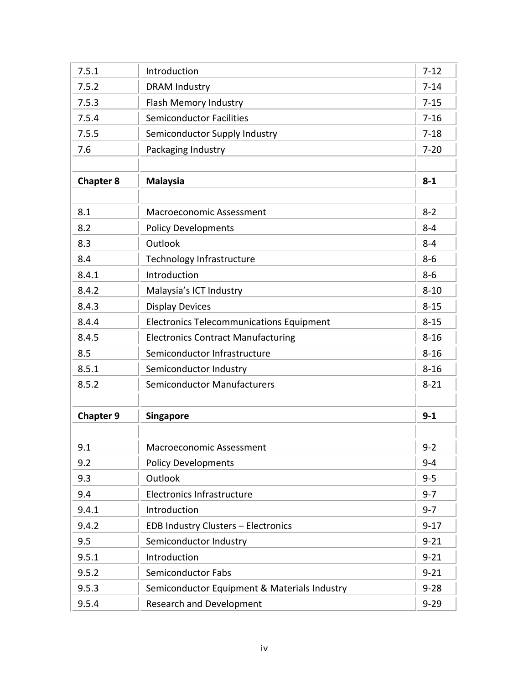| 7.5.1            | Introduction                                    | $7 - 12$ |
|------------------|-------------------------------------------------|----------|
| 7.5.2            | <b>DRAM Industry</b>                            | $7 - 14$ |
| 7.5.3            | Flash Memory Industry                           | $7 - 15$ |
| 7.5.4            | <b>Semiconductor Facilities</b>                 | $7 - 16$ |
| 7.5.5            | Semiconductor Supply Industry                   | $7 - 18$ |
| 7.6              | Packaging Industry                              | $7 - 20$ |
|                  |                                                 |          |
| <b>Chapter 8</b> | <b>Malaysia</b>                                 | $8 - 1$  |
|                  |                                                 |          |
| 8.1              | Macroeconomic Assessment                        | $8 - 2$  |
| 8.2              | <b>Policy Developments</b>                      | $8 - 4$  |
| 8.3              | Outlook                                         | $8 - 4$  |
| 8.4              | <b>Technology Infrastructure</b>                | $8 - 6$  |
| 8.4.1            | Introduction                                    | $8 - 6$  |
| 8.4.2            | Malaysia's ICT Industry                         | $8 - 10$ |
| 8.4.3            | <b>Display Devices</b>                          | $8 - 15$ |
| 8.4.4            | <b>Electronics Telecommunications Equipment</b> | $8 - 15$ |
| 8.4.5            | <b>Electronics Contract Manufacturing</b>       | $8 - 16$ |
| 8.5              | Semiconductor Infrastructure                    | $8 - 16$ |
| 8.5.1            | Semiconductor Industry                          | $8 - 16$ |
| 8.5.2            | <b>Semiconductor Manufacturers</b>              | $8 - 21$ |
|                  |                                                 |          |
| <b>Chapter 9</b> | <b>Singapore</b>                                | $9 - 1$  |
|                  |                                                 |          |
| 9.1              | Macroeconomic Assessment                        | $9 - 2$  |
| 9.2              | <b>Policy Developments</b>                      | $9 - 4$  |
| 9.3              | Outlook                                         | $9 - 5$  |
| 9.4              | <b>Electronics Infrastructure</b>               | $9 - 7$  |
| 9.4.1            | Introduction                                    | $9 - 7$  |
| 9.4.2            | <b>EDB Industry Clusters - Electronics</b>      | $9 - 17$ |
| 9.5              | Semiconductor Industry                          | $9 - 21$ |
| 9.5.1            | Introduction                                    | $9 - 21$ |
| 9.5.2            | Semiconductor Fabs                              | $9 - 21$ |
| 9.5.3            | Semiconductor Equipment & Materials Industry    | $9 - 28$ |
| 9.5.4            | <b>Research and Development</b>                 | $9 - 29$ |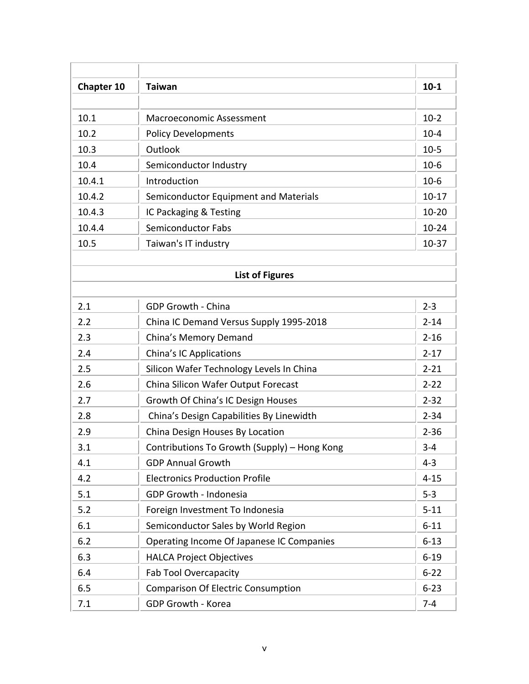| <b>Chapter 10</b> | <b>Taiwan</b>                                | $10 - 1$  |
|-------------------|----------------------------------------------|-----------|
|                   |                                              |           |
| 10.1              | <b>Macroeconomic Assessment</b>              | $10-2$    |
| 10.2              | <b>Policy Developments</b>                   | $10 - 4$  |
| 10.3              | Outlook                                      | $10-5$    |
| 10.4              | Semiconductor Industry                       | $10-6$    |
| 10.4.1            | Introduction                                 | $10-6$    |
| 10.4.2            | Semiconductor Equipment and Materials        | $10-17$   |
| 10.4.3            | IC Packaging & Testing                       | $10 - 20$ |
| 10.4.4            | <b>Semiconductor Fabs</b>                    | $10 - 24$ |
| 10.5              | Taiwan's IT industry                         | $10-37$   |
|                   |                                              |           |
|                   | <b>List of Figures</b>                       |           |
| 2.1               | <b>GDP Growth - China</b>                    | $2 - 3$   |
| 2.2               | China IC Demand Versus Supply 1995-2018      | $2 - 14$  |
| 2.3               | China's Memory Demand                        | $2 - 16$  |
| 2.4               | <b>China's IC Applications</b>               | $2 - 17$  |
| 2.5               | Silicon Wafer Technology Levels In China     | $2 - 21$  |
| 2.6               | China Silicon Wafer Output Forecast          | $2 - 22$  |
| 2.7               | Growth Of China's IC Design Houses           | $2 - 32$  |
| 2.8               | China's Design Capabilities By Linewidth     | $2 - 34$  |
| 2.9               | China Design Houses By Location              | $2 - 36$  |
| 3.1               | Contributions To Growth (Supply) - Hong Kong | $3 - 4$   |
| 4.1               | <b>GDP Annual Growth</b>                     | $4 - 3$   |
| 4.2               | <b>Electronics Production Profile</b>        | $4 - 15$  |
| 5.1               | GDP Growth - Indonesia                       | $5 - 3$   |
| 5.2               | Foreign Investment To Indonesia              | $5 - 11$  |
| 6.1               | Semiconductor Sales by World Region          | $6 - 11$  |
| 6.2               | Operating Income Of Japanese IC Companies    | $6 - 13$  |
| 6.3               | <b>HALCA Project Objectives</b>              | $6 - 19$  |
| 6.4               | Fab Tool Overcapacity                        | $6 - 22$  |
| 6.5               | <b>Comparison Of Electric Consumption</b>    | $6 - 23$  |
| 7.1               | GDP Growth - Korea                           | $7 - 4$   |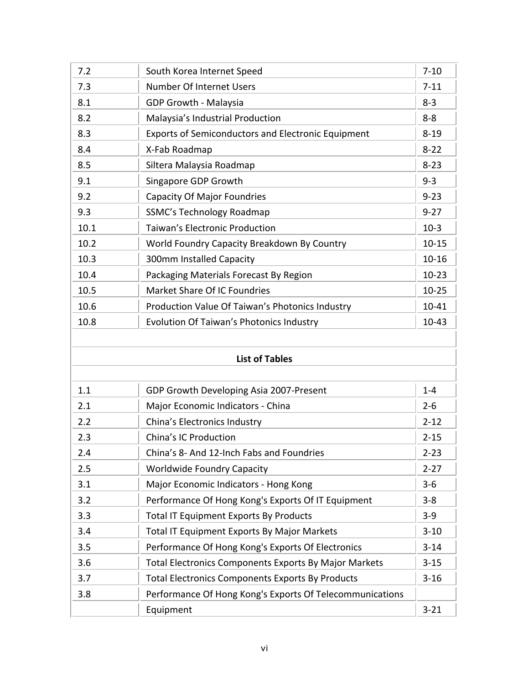| 7.2  | South Korea Internet Speed                                | $7 - 10$  |
|------|-----------------------------------------------------------|-----------|
| 7.3  | <b>Number Of Internet Users</b>                           | $7 - 11$  |
| 8.1  | <b>GDP Growth - Malaysia</b>                              | $8 - 3$   |
| 8.2  | Malaysia's Industrial Production                          | $8 - 8$   |
| 8.3  | <b>Exports of Semiconductors and Electronic Equipment</b> | $8 - 19$  |
| 8.4  | X-Fab Roadmap                                             | $8 - 22$  |
| 8.5  | Siltera Malaysia Roadmap                                  | $8 - 23$  |
| 9.1  | Singapore GDP Growth                                      | $9 - 3$   |
| 9.2  | <b>Capacity Of Major Foundries</b>                        | $9 - 23$  |
| 9.3  | <b>SSMC's Technology Roadmap</b>                          | $9 - 27$  |
| 10.1 | <b>Taiwan's Electronic Production</b>                     | $10-3$    |
| 10.2 | World Foundry Capacity Breakdown By Country               | $10 - 15$ |
| 10.3 | 300mm Installed Capacity                                  | $10 - 16$ |
| 10.4 | Packaging Materials Forecast By Region                    | $10 - 23$ |
| 10.5 | Market Share Of IC Foundries                              | $10 - 25$ |
| 10.6 | Production Value Of Taiwan's Photonics Industry           | 10-41     |
| 10.8 | Evolution Of Taiwan's Photonics Industry                  | $10-43$   |

| <b>List of Tables</b> |
|-----------------------|
|                       |

| 1.1 | GDP Growth Developing Asia 2007-Present                      | $1 - 4$  |
|-----|--------------------------------------------------------------|----------|
| 2.1 | Major Economic Indicators - China                            | $2 - 6$  |
| 2.2 | China's Electronics Industry                                 | $2 - 12$ |
| 2.3 | China's IC Production                                        | $2 - 15$ |
| 2.4 | China's 8- And 12-Inch Fabs and Foundries                    | $2 - 23$ |
| 2.5 | <b>Worldwide Foundry Capacity</b>                            | $2 - 27$ |
| 3.1 | Major Economic Indicators - Hong Kong                        | $3 - 6$  |
| 3.2 | Performance Of Hong Kong's Exports Of IT Equipment           | $3 - 8$  |
| 3.3 | <b>Total IT Equipment Exports By Products</b>                | $3 - 9$  |
| 3.4 | <b>Total IT Equipment Exports By Major Markets</b>           | $3 - 10$ |
| 3.5 | Performance Of Hong Kong's Exports Of Electronics            | $3 - 14$ |
| 3.6 | <b>Total Electronics Components Exports By Major Markets</b> | $3 - 15$ |
| 3.7 | <b>Total Electronics Components Exports By Products</b>      | $3 - 16$ |
| 3.8 | Performance Of Hong Kong's Exports Of Telecommunications     |          |
|     | Equipment                                                    | $3 - 21$ |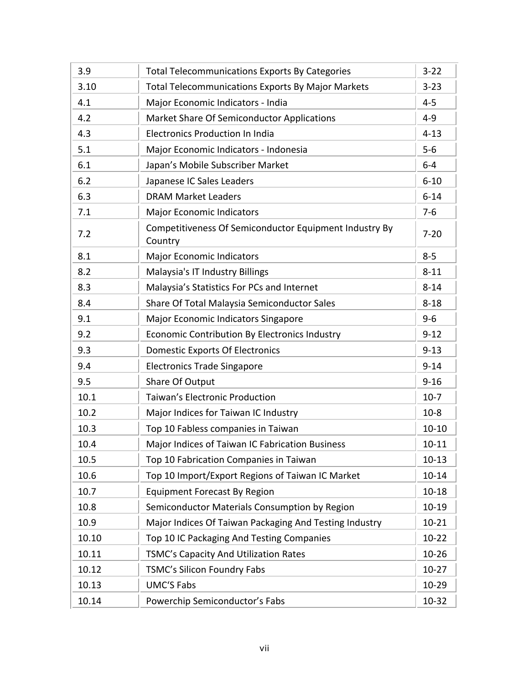| 3.9   | <b>Total Telecommunications Exports By Categories</b>             | $3 - 22$  |
|-------|-------------------------------------------------------------------|-----------|
| 3.10  | <b>Total Telecommunications Exports By Major Markets</b>          | $3 - 23$  |
| 4.1   | Major Economic Indicators - India                                 | $4 - 5$   |
| 4.2   | <b>Market Share Of Semiconductor Applications</b>                 | $4 - 9$   |
| 4.3   | <b>Electronics Production In India</b>                            | $4 - 13$  |
| 5.1   | Major Economic Indicators - Indonesia                             | $5-6$     |
| 6.1   | Japan's Mobile Subscriber Market                                  | $6-4$     |
| 6.2   | Japanese IC Sales Leaders                                         | $6 - 10$  |
| 6.3   | <b>DRAM Market Leaders</b>                                        | $6 - 14$  |
| 7.1   | <b>Major Economic Indicators</b>                                  | $7-6$     |
| 7.2   | Competitiveness Of Semiconductor Equipment Industry By<br>Country | $7 - 20$  |
| 8.1   | <b>Major Economic Indicators</b>                                  | $8 - 5$   |
| 8.2   | Malaysia's IT Industry Billings                                   | $8 - 11$  |
| 8.3   | Malaysia's Statistics For PCs and Internet                        | $8 - 14$  |
| 8.4   | Share Of Total Malaysia Semiconductor Sales                       | $8 - 18$  |
| 9.1   | Major Economic Indicators Singapore                               | $9 - 6$   |
| 9.2   | <b>Economic Contribution By Electronics Industry</b>              | $9 - 12$  |
| 9.3   | <b>Domestic Exports Of Electronics</b>                            | $9 - 13$  |
| 9.4   | <b>Electronics Trade Singapore</b>                                | $9 - 14$  |
| 9.5   | Share Of Output                                                   | $9 - 16$  |
| 10.1  | <b>Taiwan's Electronic Production</b>                             | $10-7$    |
| 10.2  | Major Indices for Taiwan IC Industry                              | $10-8$    |
| 10.3  | Top 10 Fabless companies in Taiwan                                | $10 - 10$ |
| 10.4  | Major Indices of Taiwan IC Fabrication Business                   | $10 - 11$ |
| 10.5  | Top 10 Fabrication Companies in Taiwan                            | $10 - 13$ |
| 10.6  | Top 10 Import/Export Regions of Taiwan IC Market                  | $10 - 14$ |
| 10.7  | <b>Equipment Forecast By Region</b>                               | $10 - 18$ |
| 10.8  | Semiconductor Materials Consumption by Region                     | $10 - 19$ |
| 10.9  | Major Indices Of Taiwan Packaging And Testing Industry            | $10 - 21$ |
| 10.10 | Top 10 IC Packaging And Testing Companies                         | $10-22$   |
| 10.11 | TSMC's Capacity And Utilization Rates                             | $10 - 26$ |
| 10.12 | TSMC's Silicon Foundry Fabs                                       | $10-27$   |
| 10.13 | <b>UMC'S Fabs</b>                                                 | $10 - 29$ |
| 10.14 | Powerchip Semiconductor's Fabs                                    | 10-32     |